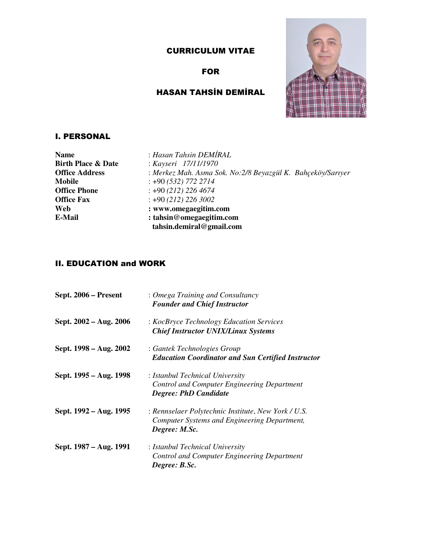## CURRICULUM VITAE

## FOR

# HASAN TAHSİN DEMİRAL



### I. PERSONAL

| <b>Name</b>                   | : Hasan Tahsin DEMİRAL                                       |
|-------------------------------|--------------------------------------------------------------|
| <b>Birth Place &amp; Date</b> | : Kayseri 17/11/1970                                         |
| <b>Office Address</b>         | : Merkez Mah. Asma Sok. No: 2/8 Beyazgül K. Bahçeköy/Sarıyer |
| Mobile                        | $: +90(532)$ 772 2714                                        |
| <b>Office Phone</b>           | $: +90(212)$ 226 4674                                        |
| <b>Office Fax</b>             | $\div$ +90 (212) 226 3002                                    |
| Web                           | : www.omegaegitim.com                                        |
| E-Mail                        | : tahsin@omegaegitim.com                                     |
|                               | tahsin.demiral@gmail.com                                     |

## II. EDUCATION and WORK

| Sept. 2006 – Present   | : Omega Training and Consultancy<br><b>Founder and Chief Instructor</b>                                              |
|------------------------|----------------------------------------------------------------------------------------------------------------------|
| Sept. 2002 – Aug. 2006 | : KocBryce Technology Education Services<br><b>Chief Instructor UNIX/Linux Systems</b>                               |
| Sept. 1998 – Aug. 2002 | : Gantek Technologies Group<br><b>Education Coordinator and Sun Certified Instructor</b>                             |
| Sept. 1995 – Aug. 1998 | : Istanbul Technical University<br>Control and Computer Engineering Department<br><b>Degree: PhD Candidate</b>       |
| Sept. 1992 – Aug. 1995 | : Rennselaer Polytechnic Institute, New York / U.S.<br>Computer Systems and Engineering Department,<br>Degree: M.Sc. |
| Sept. 1987 – Aug. 1991 | : Istanbul Technical University<br><b>Control and Computer Engineering Department</b><br>Degree: B.Sc.               |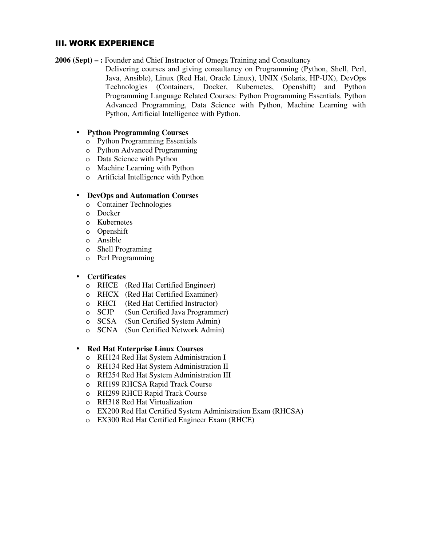### III. WORK EXPERIENCE

**2006 (Sept) – :** Founder and Chief Instructor of Omega Training and Consultancy

Delivering courses and giving consultancy on Programming (Python, Shell, Perl, Java, Ansible), Linux (Red Hat, Oracle Linux), UNIX (Solaris, HP-UX), DevOps Technologies (Containers, Docker, Kubernetes, Openshift) and Python Programming Language Related Courses: Python Programming Essentials, Python Advanced Programming, Data Science with Python, Machine Learning with Python, Artificial Intelligence with Python.

#### • **Python Programming Courses**

- o Python Programming Essentials
- o Python Advanced Programming
- o Data Science with Python
- o Machine Learning with Python
- o Artificial Intelligence with Python

#### • **DevOps and Automation Courses**

- o Container Technologies
- o Docker
- o Kubernetes
- o Openshift
- o Ansible
- o Shell Programing
- o Perl Programming

#### • **Certificates**

- o RHCE (Red Hat Certified Engineer)
- o RHCX (Red Hat Certified Examiner)
- o RHCI (Red Hat Certified Instructor)
- o SCJP (Sun Certified Java Programmer)
- o SCSA (Sun Certified System Admin)
- o SCNA (Sun Certified Network Admin)

#### • **Red Hat Enterprise Linux Courses**

- o RH124 Red Hat System Administration I
- o RH134 Red Hat System Administration II
- o RH254 Red Hat System Administration III
- o RH199 RHCSA Rapid Track Course
- o RH299 RHCE Rapid Track Course
- o RH318 Red Hat Virtualization
- o EX200 Red Hat Certified System Administration Exam (RHCSA)
- o EX300 Red Hat Certified Engineer Exam (RHCE)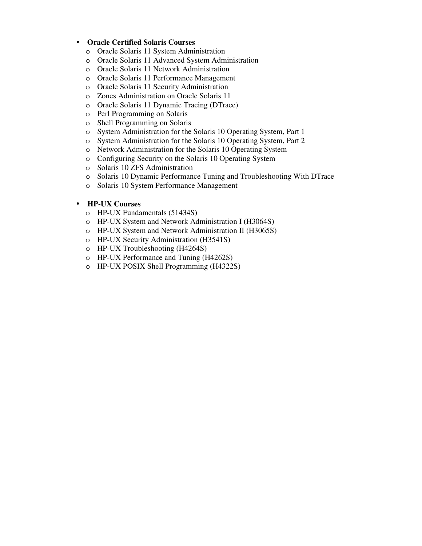#### • **Oracle Certified Solaris Courses**

- o Oracle Solaris 11 System Administration
- o Oracle Solaris 11 Advanced System Administration
- o Oracle Solaris 11 Network Administration
- o Oracle Solaris 11 Performance Management
- o Oracle Solaris 11 Security Administration
- o Zones Administration on Oracle Solaris 11
- o Oracle Solaris 11 Dynamic Tracing (DTrace)
- o Perl Programming on Solaris
- o Shell Programming on Solaris
- o System Administration for the Solaris 10 Operating System, Part 1
- o System Administration for the Solaris 10 Operating System, Part 2
- o Network Administration for the Solaris 10 Operating System
- o Configuring Security on the Solaris 10 Operating System
- o Solaris 10 ZFS Administration
- o Solaris 10 Dynamic Performance Tuning and Troubleshooting With DTrace
- o Solaris 10 System Performance Management

#### • **HP-UX Courses**

- o HP-UX Fundamentals (51434S)
- o HP-UX System and Network Administration I (H3064S)
- o HP-UX System and Network Administration II (H3065S)
- o HP-UX Security Administration (H3541S)
- o HP-UX Troubleshooting (H4264S)
- o HP-UX Performance and Tuning (H4262S)
- o HP-UX POSIX Shell Programming (H4322S)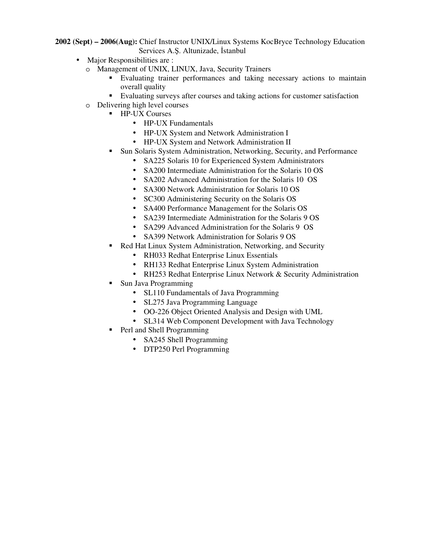**2002 (Sept) – 2006(Aug):** Chief Instructor UNIX/Linux Systems KocBryce Technology Education Services A.Ş. Altunizade, İstanbul

- Major Responsibilities are :
	- o Management of UNIX, LINUX, Java, Security Trainers
		- Evaluating trainer performances and taking necessary actions to maintain overall quality
		- Evaluating surveys after courses and taking actions for customer satisfaction
	- o Delivering high level courses
		- **HP-UX Courses** 
			- HP-UX Fundamentals
			- HP-UX System and Network Administration I
			- HP-UX System and Network Administration II
		- Sun Solaris System Administration, Networking, Security, and Performance
			- SA225 Solaris 10 for Experienced System Administrators
			- SA200 Intermediate Administration for the Solaris 10 OS
			- SA202 Advanced Administration for the Solaris 10 OS
			- SA300 Network Administration for Solaris 10 OS
			- SC300 Administering Security on the Solaris OS
			- SA400 Performance Management for the Solaris OS
			- SA239 Intermediate Administration for the Solaris 9 OS
			- SA299 Advanced Administration for the Solaris 9 OS
			- SA399 Network Administration for Solaris 9 OS
		- Red Hat Linux System Administration, Networking, and Security
			- RH033 Redhat Enterprise Linux Essentials
			- RH133 Redhat Enterprise Linux System Administration
			- RH253 Redhat Enterprise Linux Network & Security Administration
		- Sun Java Programming
			- SL110 Fundamentals of Java Programming
			- SL275 Java Programming Language
			- OO-226 Object Oriented Analysis and Design with UML
			- SL314 Web Component Development with Java Technology
		- Perl and Shell Programming
			- SA245 Shell Programming
			- DTP250 Perl Programming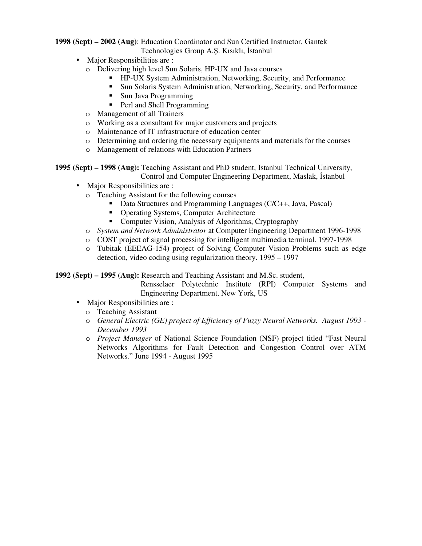**1998 (Sept) – 2002 (Aug)**: Education Coordinator and Sun Certified Instructor, Gantek Technologies Group A.Ş. Kısıklı, İstanbul

- Major Responsibilities are :
	- o Delivering high level Sun Solaris, HP-UX and Java courses
		- HP-UX System Administration, Networking, Security, and Performance
		- Sun Solaris System Administration, Networking, Security, and Performance
		- **Sun Java Programming**
		- Perl and Shell Programming
	- o Management of all Trainers
	- o Working as a consultant for major customers and projects
	- o Maintenance of IT infrastructure of education center
	- o Determining and ordering the necessary equipments and materials for the courses
	- o Management of relations with Education Partners

**1995 (Sept) – 1998 (Aug):** Teaching Assistant and PhD student, Istanbul Technical University, Control and Computer Engineering Department, Maslak, İstanbul

- Major Responsibilities are :
	- o Teaching Assistant for the following courses
		- Data Structures and Programming Languages (C/C++, Java, Pascal)
		- Operating Systems, Computer Architecture
		- Computer Vision, Analysis of Algorithms, Cryptography
	- o *System and Network Administrator* at Computer Engineering Department 1996-1998
	- o COST project of signal processing for intelligent multimedia terminal. 1997-1998
	- o Tubitak (EEEAG-154) project of Solving Computer Vision Problems such as edge detection, video coding using regularization theory. 1995 – 1997

**1992 (Sept) – 1995 (Aug):** Research and Teaching Assistant and M.Sc. student,

Rensselaer Polytechnic Institute (RPI) Computer Systems and Engineering Department, New York, US

- Major Responsibilities are :
	- o Teaching Assistant
	- o *General Electric (GE) project of Efficiency of Fuzzy Neural Networks. August 1993 December 1993*
	- o *Project Manager* of National Science Foundation (NSF) project titled "Fast Neural Networks Algorithms for Fault Detection and Congestion Control over ATM Networks." June 1994 - August 1995